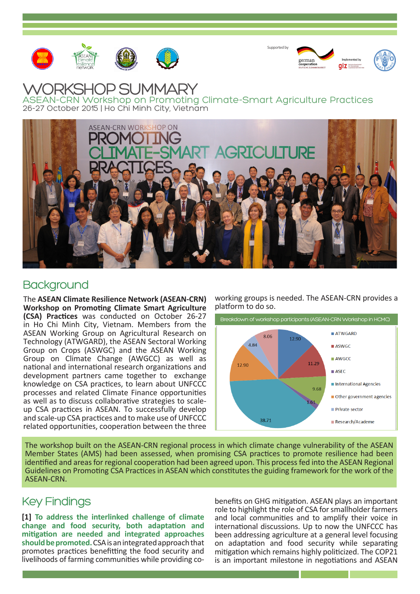





## WORKSHOP SUMMARY

ASEAN-CRN Workshop on Promoting Climate-Smart Agriculture Practices 26-27 October 2015 | Ho Chi Minh City, Vietnam



## **Background**

The **ASEAN Climate Resilience Network (ASEAN-CRN) Workshop on Promoting Climate Smart Agriculture (CSA) Practices** was conducted on October 26-27 in Ho Chi Minh City, Vietnam. Members from the ASEAN Working Group on Agricultural Research on Technology (ATWGARD), the ASEAN Sectoral Working Group on Crops (ASWGC) and the ASEAN Working Group on Climate Change (AWGCC) as well as national and international research organizations and development partners came together to exchange knowledge on CSA practices, to learn about UNFCCC processes and related Climate Finance opportunities as well as to discuss collaborative strategies to scaleup CSA practices in ASEAN. To successfully develop and scale-up CSA practices and to make use of UNFCCC related opportunities, cooperation between the three working groups is needed. The ASEAN-CRN provides a platform to do so.



The workshop built on the ASEAN-CRN regional process in which climate change vulnerability of the ASEAN Member States (AMS) had been assessed, when promising CSA practices to promote resilience had been identified and areas for regional cooperation had been agreed upon. This process fed into the ASEAN Regional Guidelines on Promoting CSA Practices in ASEAN which constitutes the guiding framework for the work of the ASEAN-CRN.

## Key Findings

**[1] To address the interlinked challenge of climate change and food security, both adaptation and mitigation are needed and integrated approaches should be promoted.** CSA is an integrated approach that promotes practices benefitting the food security and livelihoods of farming communities while providing cobenefits on GHG mitigation. ASEAN plays an important role to highlight the role of CSA for smallholder farmers and local communities and to amplify their voice in international discussions. Up to now the UNFCCC has been addressing agriculture at a general level focusing on adaptation and food security while separating mitigation which remains highly politicized. The COP21 is an important milestone in negotiations and ASEAN